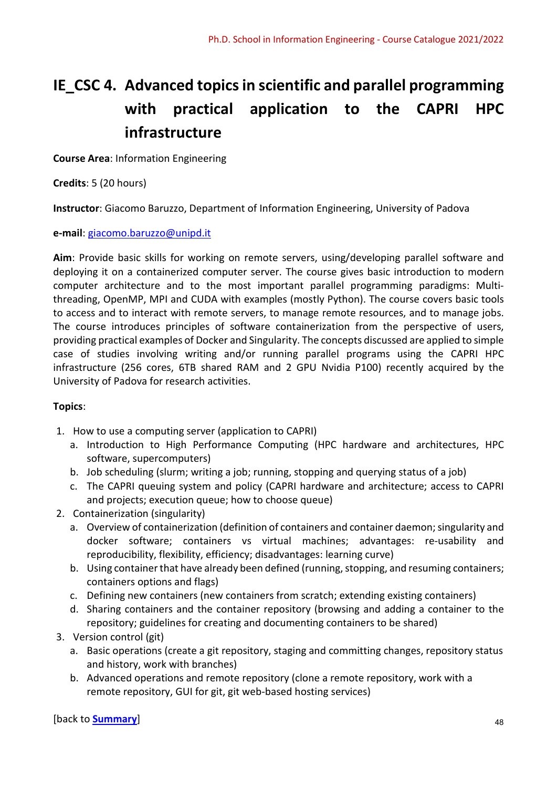## IE CSC 4. Advanced topics in scientific and parallel programming with practical application to the CAPRI HPC infrastructure

Course Area: Information Engineering

Credits: 5 (20 hours)

Instructor: Giacomo Baruzzo, Department of Information Engineering, University of Padova

e-mail: giacomo.baruzzo@unipd.it

Aim: Provide basic skills for working on remote servers, using/developing parallel software and deploying it on a containerized computer server. The course gives basic introduction to modern computer architecture and to the most important parallel programming paradigms: Multithreading, OpenMP, MPI and CUDA with examples (mostly Python). The course covers basic tools to access and to interact with remote servers, to manage remote resources, and to manage jobs. The course introduces principles of software containerization from the perspective of users, providing practical examples of Docker and Singularity. The concepts discussed are applied to simple case of studies involving writing and/or running parallel programs using the CAPRI HPC infrastructure (256 cores, 6TB shared RAM and 2 GPU Nvidia P100) recently acquired by the University of Padova for research activities.

## Topics:

- 1. How to use a computing server (application to CAPRI)
	- a. Introduction to High Performance Computing (HPC hardware and architectures, HPC software, supercomputers)
	- b. Job scheduling (slurm; writing a job; running, stopping and querying status of a job)
	- c. The CAPRI queuing system and policy (CAPRI hardware and architecture; access to CAPRI and projects; execution queue; how to choose queue)
- 2. Containerization (singularity)
	- a. Overview of containerization (definition of containers and container daemon; singularity and docker software; containers vs virtual machines; advantages: re-usability and reproducibility, flexibility, efficiency; disadvantages: learning curve)
	- b. Using container that have already been defined (running, stopping, and resuming containers; containers options and flags)
	- c. Defining new containers (new containers from scratch; extending existing containers)
	- d. Sharing containers and the container repository (browsing and adding a container to the repository; guidelines for creating and documenting containers to be shared)
- 3. Version control (git)
	- a. Basic operations (create a git repository, staging and committing changes, repository status and history, work with branches)
	- b. Advanced operations and remote repository (clone a remote repository, work with a remote repository, GUI for git, git web-based hosting services)

[back to <mark>Summary</mark>] and the set of the set of the set of the set of the set of the set of the set of the set of the set of the set of the set of the set of the set of the set of the set of the set of the set of the set of